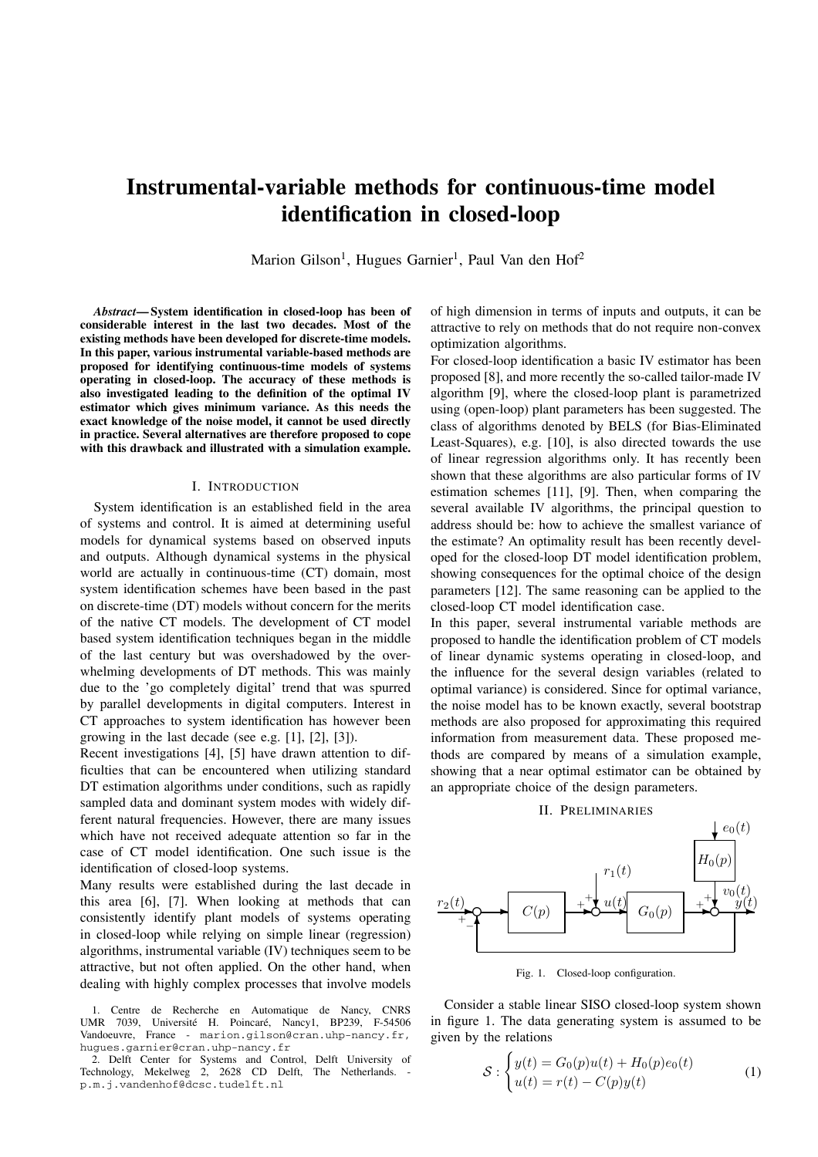# **Instrumental-variable methods for continuous-time model identification in closed-loop**

Marion Gilson<sup>1</sup>, Hugues Garnier<sup>1</sup>, Paul Van den Hof<sup>2</sup>

*Abstract***— System identification in closed-loop has been of considerable interest in the last two decades. Most of the existing methods have been developed for discrete-time models. In this paper, various instrumental variable-based methods are proposed for identifying continuous-time models of systems operating in closed-loop. The accuracy of these methods is also investigated leading to the definition of the optimal IV estimator which gives minimum variance. As this needs the exact knowledge of the noise model, it cannot be used directly in practice. Several alternatives are therefore proposed to cope with this drawback and illustrated with a simulation example.**

## I. INTRODUCTION

System identification is an established field in the area of systems and control. It is aimed at determining useful models for dynamical systems based on observed inputs and outputs. Although dynamical systems in the physical world are actually in continuous-time (CT) domain, most system identification schemes have been based in the past on discrete-time (DT) models without concern for the merits of the native CT models. The development of CT model based system identification techniques began in the middle of the last century but was overshadowed by the overwhelming developments of DT methods. This was mainly due to the 'go completely digital' trend that was spurred by parallel developments in digital computers. Interest in CT approaches to system identification has however been growing in the last decade (see e.g. [1], [2], [3]).

Recent investigations [4], [5] have drawn attention to difficulties that can be encountered when utilizing standard DT estimation algorithms under conditions, such as rapidly sampled data and dominant system modes with widely different natural frequencies. However, there are many issues which have not received adequate attention so far in the case of CT model identification. One such issue is the identification of closed-loop systems.

Many results were established during the last decade in this area [6], [7]. When looking at methods that can consistently identify plant models of systems operating in closed-loop while relying on simple linear (regression) algorithms, instrumental variable (IV) techniques seem to be attractive, but not often applied. On the other hand, when dealing with highly complex processes that involve models

1. Centre de Recherche en Automatique de Nancy, CNRS UMR 7039, Université H. Poincaré, Nancy1, BP239, F-54506 Vandoeuvre, France - marion.gilson@cran.uhp-nancy.fr, hugues.garnier@cran.uhp-nancy.fr

2. Delft Center for Systems and Control, Delft University of Technology, Mekelweg 2, 2628 CD Delft, The Netherlands. p.m.j.vandenhof@dcsc.tudelft.nl

of high dimension in terms of inputs and outputs, it can be attractive to rely on methods that do not require non-convex optimization algorithms.

For closed-loop identification a basic IV estimator has been proposed [8], and more recently the so-called tailor-made IV algorithm [9], where the closed-loop plant is parametrized using (open-loop) plant parameters has been suggested. The class of algorithms denoted by BELS (for Bias-Eliminated Least-Squares), e.g. [10], is also directed towards the use of linear regression algorithms only. It has recently been shown that these algorithms are also particular forms of IV estimation schemes [11], [9]. Then, when comparing the several available IV algorithms, the principal question to address should be: how to achieve the smallest variance of the estimate? An optimality result has been recently developed for the closed-loop DT model identification problem, showing consequences for the optimal choice of the design parameters [12]. The same reasoning can be applied to the closed-loop CT model identification case.

In this paper, several instrumental variable methods are proposed to handle the identification problem of CT models of linear dynamic systems operating in closed-loop, and the influence for the several design variables (related to optimal variance) is considered. Since for optimal variance, the noise model has to be known exactly, several bootstrap methods are also proposed for approximating this required information from measurement data. These proposed methods are compared by means of a simulation example, showing that a near optimal estimator can be obtained by an appropriate choice of the design parameters.

#### II. PRELIMINARIES



Fig. 1. Closed-loop configuration.

Consider a stable linear SISO closed-loop system shown in figure 1. The data generating system is assumed to be given by the relations

$$
S: \begin{cases} y(t) = G_0(p)u(t) + H_0(p)e_0(t) \\ u(t) = r(t) - C(p)y(t) \end{cases} \tag{1}
$$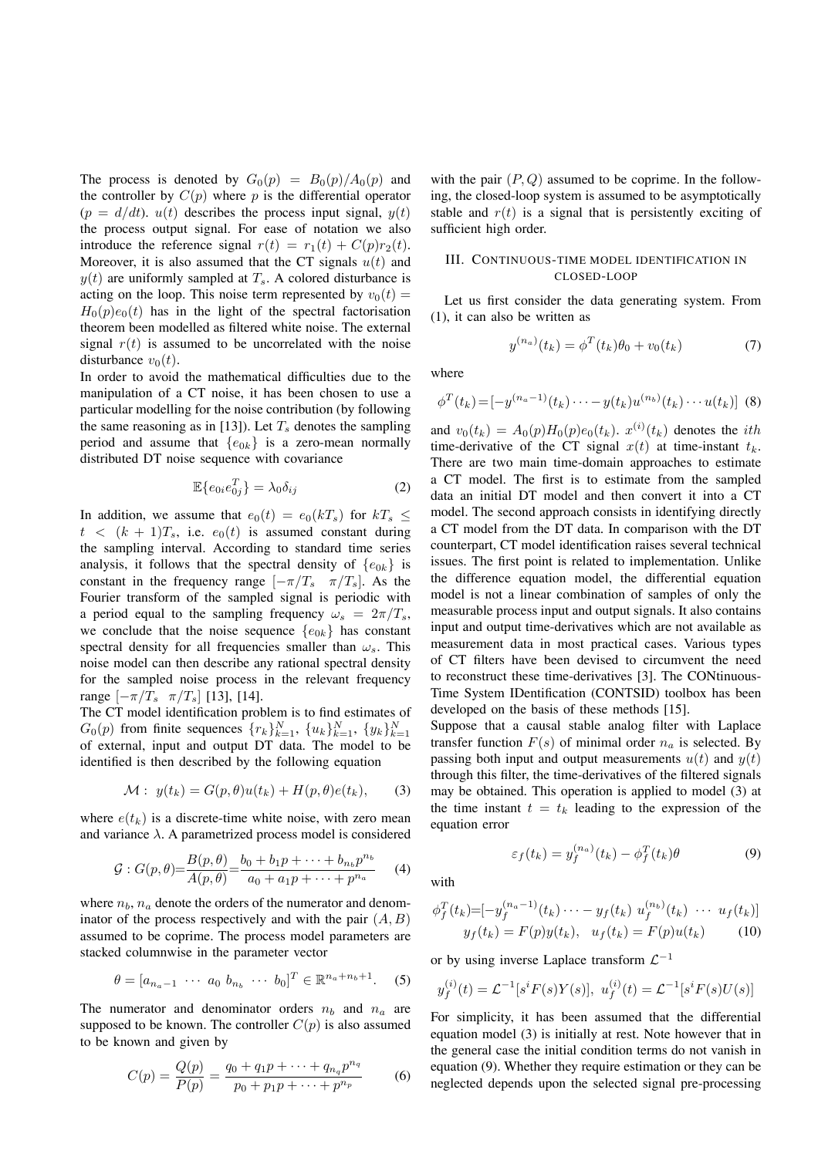The process is denoted by  $G_0(p) = B_0(p)/A_0(p)$  and the controller by  $C(p)$  where p is the differential operator  $(p = d/dt)$ .  $u(t)$  describes the process input signal,  $y(t)$ the process output signal. For ease of notation we also introduce the reference signal  $r(t) = r_1(t) + C(p)r_2(t)$ . Moreover, it is also assumed that the CT signals  $u(t)$  and  $y(t)$  are uniformly sampled at  $T_s$ . A colored disturbance is acting on the loop. This noise term represented by  $v_0(t) =$  $H_0(p)e_0(t)$  has in the light of the spectral factorisation theorem been modelled as filtered white noise. The external signal  $r(t)$  is assumed to be uncorrelated with the noise disturbance  $v_0(t)$ .

In order to avoid the mathematical difficulties due to the manipulation of a CT noise, it has been chosen to use a particular modelling for the noise contribution (by following the same reasoning as in [13]). Let  $T_s$  denotes the sampling period and assume that  ${e_{0k}}$  is a zero-mean normally distributed DT noise sequence with covariance

$$
\mathbb{E}\{e_{0i}e_{0j}^T\} = \lambda_0 \delta_{ij} \tag{2}
$$

In addition, we assume that  $e_0(t) = e_0(kT_s)$  for  $kT_s \leq$  $t < (k + 1)T_s$ , i.e.  $e_0(t)$  is assumed constant during the sampling interval. According to standard time series analysis, it follows that the spectral density of  $\{e_{0k}\}\$ is constant in the frequency range  $[-\pi/T_s \ \pi/T_s]$ . As the Fourier transform of the sampled signal is periodic with a period equal to the sampling frequency  $\omega_s = 2\pi/T_s$ , we conclude that the noise sequence  ${e_{0k}}$  has constant spectral density for all frequencies smaller than  $\omega_s$ . This noise model can then describe any rational spectral density for the sampled noise process in the relevant frequency range  $[-\pi/T_s \ \pi/T_s]$  [13], [14].

The CT model identification problem is to find estimates of  $G_0(p)$  from finite sequences  $\{r_k\}_{k=1}^N$ ,  $\{u_k\}_{k=1}^N$ ,  $\{y_k\}_{k=1}^N$ <br>of external input and output DT data. The model to be of external, input and output DT data. The model to be identified is then described by the following equation

$$
\mathcal{M}: y(t_k) = G(p, \theta)u(t_k) + H(p, \theta)e(t_k), \qquad (3)
$$

where  $e(t_k)$  is a discrete-time white noise, with zero mean and variance  $\lambda$ . A parametrized process model is considered

$$
\mathcal{G}: G(p,\theta) = \frac{B(p,\theta)}{A(p,\theta)} = \frac{b_0 + b_1 p + \dots + b_{n_b} p^{n_b}}{a_0 + a_1 p + \dots + p^{n_a}} \qquad (4)
$$

where  $n_b$ ,  $n_a$  denote the orders of the numerator and denominator of the process respectively and with the pair  $(A, B)$ assumed to be coprime. The process model parameters are stacked columnwise in the parameter vector

$$
\theta = [a_{n_a-1} \cdots a_0 \ b_{n_b} \cdots b_0]^T \in \mathbb{R}^{n_a + n_b + 1}.
$$
 (5)

The numerator and denominator orders  $n_b$  and  $n_a$  are supposed to be known. The controller  $C(p)$  is also assumed to be known and given by

$$
C(p) = \frac{Q(p)}{P(p)} = \frac{q_0 + q_1 p + \dots + q_{n_q} p^{n_q}}{p_0 + p_1 p + \dots + p^{n_p}}
$$
 (6)

with the pair  $(P, Q)$  assumed to be coprime. In the following, the closed-loop system is assumed to be asymptotically stable and  $r(t)$  is a signal that is persistently exciting of sufficient high order.

## III. CONTINUOUS-TIME MODEL IDENTIFICATION IN CLOSED-LOOP

Let us first consider the data generating system. From (1), it can also be written as

$$
y^{(n_a)}(t_k) = \phi^T(t_k)\theta_0 + v_0(t_k)
$$
 (7)

where

$$
\phi^{T}(t_{k}) = [-y^{(n_{a}-1)}(t_{k})\cdots - y(t_{k})u^{(n_{b})}(t_{k})\cdots u(t_{k})]
$$
 (8)

and  $v_0(t_k) = A_0(p)H_0(p)e_0(t_k)$ .  $x^{(i)}(t_k)$  denotes the *i*th time-derivative of the CT signal  $x(t)$  at time-instant  $t_t$ . time-derivative of the CT signal  $x(t)$  at time-instant  $t_k$ . There are two main time-domain approaches to estimate a CT model. The first is to estimate from the sampled data an initial DT model and then convert it into a CT model. The second approach consists in identifying directly a CT model from the DT data. In comparison with the DT counterpart, CT model identification raises several technical issues. The first point is related to implementation. Unlike the difference equation model, the differential equation model is not a linear combination of samples of only the measurable process input and output signals. It also contains input and output time-derivatives which are not available as measurement data in most practical cases. Various types of CT filters have been devised to circumvent the need to reconstruct these time-derivatives [3]. The CONtinuous-Time System IDentification (CONTSID) toolbox has been developed on the basis of these methods [15].

Suppose that a causal stable analog filter with Laplace transfer function  $F(s)$  of minimal order  $n_a$  is selected. By passing both input and output measurements  $u(t)$  and  $y(t)$ through this filter, the time-derivatives of the filtered signals may be obtained. This operation is applied to model (3) at the time instant  $t = t_k$  leading to the expression of the equation error

$$
\varepsilon_f(t_k) = y_f^{(n_a)}(t_k) - \phi_f^T(t_k)\theta \tag{9}
$$

with

$$
\phi_f^T(t_k) = [-y_f^{(n_a - 1)}(t_k) \cdots - y_f(t_k) u_f^{(n_b)}(t_k) \cdots u_f(t_k)]
$$
  

$$
y_f(t_k) = F(p)y(t_k), \quad u_f(t_k) = F(p)u(t_k)
$$
 (10)

or by using inverse Laplace transform  $\mathcal{L}^{-1}$ 

$$
y_f^{(i)}(t) = \mathcal{L}^{-1}[s^i F(s)Y(s)], \ u_f^{(i)}(t) = \mathcal{L}^{-1}[s^i F(s)U(s)]
$$

For simplicity, it has been assumed that the differential equation model (3) is initially at rest. Note however that in the general case the initial condition terms do not vanish in equation (9). Whether they require estimation or they can be neglected depends upon the selected signal pre-processing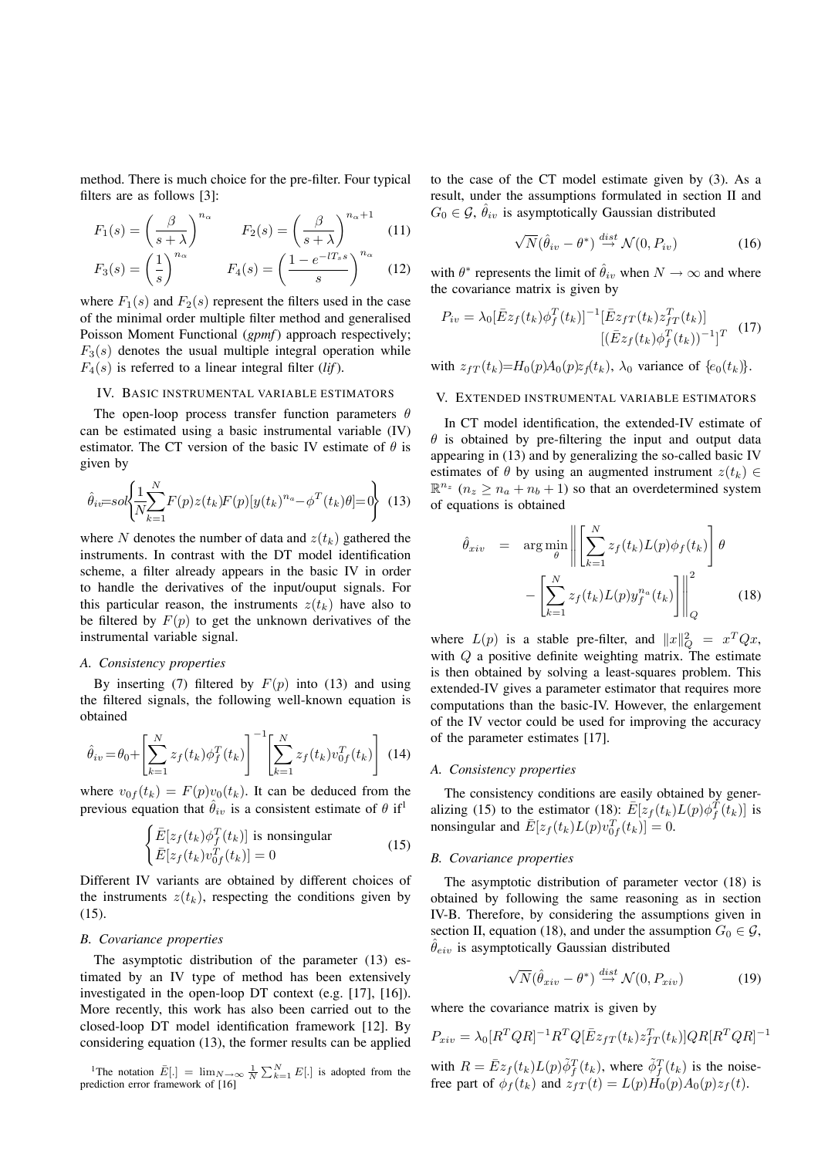method. There is much choice for the pre-filter. Four typical filters are as follows [3]:

$$
F_1(s) = \left(\frac{\beta}{s+\lambda}\right)^{n_{\alpha}} \qquad F_2(s) = \left(\frac{\beta}{s+\lambda}\right)^{n_{\alpha}+1} \quad (11)
$$

$$
F_3(s) = \left(\frac{1}{s}\right)^{n_\alpha} \qquad F_4(s) = \left(\frac{1 - e^{-lT_s s}}{s}\right)^{n_\alpha} \quad (12)
$$

where  $F_1(s)$  and  $F_2(s)$  represent the filters used in the case of the minimal order multiple filter method and generalised Poisson Moment Functional (*gpmf*) approach respectively;  $F_3(s)$  denotes the usual multiple integral operation while  $F_4(s)$  is referred to a linear integral filter (*lif*).

## IV. BASIC INSTRUMENTAL VARIABLE ESTIMATORS

The open-loop process transfer function parameters  $\theta$ can be estimated using a basic instrumental variable (IV) estimator. The CT version of the basic IV estimate of  $\theta$  is given by

$$
\hat{\theta}_{iv} = sol \left\{ \frac{1}{N} \sum_{k=1}^{N} F(p) z(t_k) F(p) [y(t_k)^{n_a} - \phi^T(t_k) \theta] = 0 \right\}
$$
 (13)

where N denotes the number of data and  $z(t_k)$  gathered the instruments. In contrast with the DT model identification scheme, a filter already appears in the basic IV in order to handle the derivatives of the input/ouput signals. For this particular reason, the instruments  $z(t_k)$  have also to be filtered by  $F(p)$  to get the unknown derivatives of the instrumental variable signal.

## *A. Consistency properties*

By inserting (7) filtered by  $F(p)$  into (13) and using the filtered signals, the following well-known equation is obtained

$$
\hat{\theta}_{iv} = \theta_0 + \left[ \sum_{k=1}^{N} z_f(t_k) \phi_f^T(t_k) \right]^{-1} \left[ \sum_{k=1}^{N} z_f(t_k) v_{0f}^T(t_k) \right] (14)
$$

where  $v_{0f}(t_k) = F(p)v_0(t_k)$ . It can be deduced from the previous equation that  $\hat{\theta}_{iv}$  is a consistent estimate of  $\theta$  if<sup>1</sup>

$$
\begin{cases}\n\bar{E}[z_f(t_k)\phi_f^T(t_k)] \text{ is nonsingular} \\
\bar{E}[z_f(t_k)v_{0f}^T(t_k)] = 0\n\end{cases}
$$
\n(15)

Different IV variants are obtained by different choices of the instruments  $z(t_k)$ , respecting the conditions given by (15).

# *B. Covariance properties*

The asymptotic distribution of the parameter (13) estimated by an IV type of method has been extensively investigated in the open-loop DT context (e.g. [17], [16]). More recently, this work has also been carried out to the closed-loop DT model identification framework [12]. By considering equation (13), the former results can be applied

<sup>1</sup>The notation  $\overline{E}$ [.] =  $\lim_{N \to \infty} \frac{1}{N} \sum_{k=1}^{N} E$ [.] is adopted from the prediction error framework of [16]

to the case of the CT model estimate given by (3). As a result, under the assumptions formulated in section II and  $G_0 \in \mathcal{G}, \hat{\theta}_{iv}$  is asymptotically Gaussian distributed

$$
\sqrt{N}(\hat{\theta}_{iv} - \theta^*) \stackrel{dist}{\rightarrow} \mathcal{N}(0, P_{iv})
$$
 (16)

with  $\theta^*$  represents the limit of  $\hat{\theta}_{iv}$  when  $N \to \infty$  and where the covariance matrix is given by

$$
P_{iv} = \lambda_0 [\bar{E}z_f(t_k)\phi_f^T(t_k)]^{-1} [\bar{E}z_{fT}(t_k)z_{fT}^T(t_k)]
$$

$$
[(\bar{E}z_f(t_k)\phi_f^T(t_k))^{-1}]^T
$$
 (17)

with  $z_{fT}(t_k)=H_0(p)A_0(p)z_f(t_k)$ ,  $\lambda_0$  variance of  $\{e_0(t_k)\}.$ 

# V. EXTENDED INSTRUMENTAL VARIABLE ESTIMATORS

In CT model identification, the extended-IV estimate of  $\theta$  is obtained by pre-filtering the input and output data appearing in (13) and by generalizing the so-called basic IV estimates of  $\theta$  by using an augmented instrument  $z(t_k) \in$  $\mathbb{R}^{n_z}$  ( $n_z \geq n_a + n_b + 1$ ) so that an overdetermined system of equations is obtained

$$
\hat{\theta}_{xiv} = \arg \min_{\theta} \left\| \left[ \sum_{k=1}^{N} z_f(t_k) L(p) \phi_f(t_k) \right] \theta \right\|_{Q} - \left[ \sum_{k=1}^{N} z_f(t_k) L(p) y_f^{n_a}(t_k) \right] \right\|_{Q}^{2}
$$
\n(18)

where  $L(p)$  is a stable pre-filter, and  $||x||_Q^2 = x^T Q x$ , with Q a positive definite weighting matrix. The estimate is then obtained by solving a least-squares problem. This extended-IV gives a parameter estimator that requires more computations than the basic-IV. However, the enlargement of the IV vector could be used for improving the accuracy of the parameter estimates [17].

## *A. Consistency properties*

The consistency conditions are easily obtained by generalizing (15) to the estimator (18):  $\bar{E}[z_f(t_k)L(p)\phi_f^T(t_k)]$  is<br>nonsingular and  $\bar{F}[z_f(t_k)L(p)e^{jT}(t_k)] = 0$ nonsingular and  $\bar{E}[z_f(t_k)L(p)v_{0f}^T(t_k)] = 0.$ 

## *B. Covariance properties*

The asymptotic distribution of parameter vector (18) is obtained by following the same reasoning as in section IV-B. Therefore, by considering the assumptions given in section II, equation (18), and under the assumption  $G_0 \in \mathcal{G}$ ,  $\theta_{eiv}$  is asymptotically Gaussian distributed

$$
\sqrt{N}(\hat{\theta}_{xiv} - \theta^*) \stackrel{dist}{\rightarrow} \mathcal{N}(0, P_{xiv})
$$
 (19)

where the covariance matrix is given by

$$
P_{xiv} = \lambda_0 [R^TQR]^{-1}R^TQ[\bar{E}z_{fT}(t_k)z_{fT}^T(t_k)]QR[R^TQR]^{-1}
$$
  
with  $R = \bar{E}z_f(t_k)L(p)\tilde{\phi}_f^T(t_k)$ , where  $\tilde{\phi}_f^T(t_k)$  is the noise-  
free part of  $\phi_f(t_k)$  and  $z_{fT}(t) = L(p)H_0(p)A_0(p)z_f(t)$ .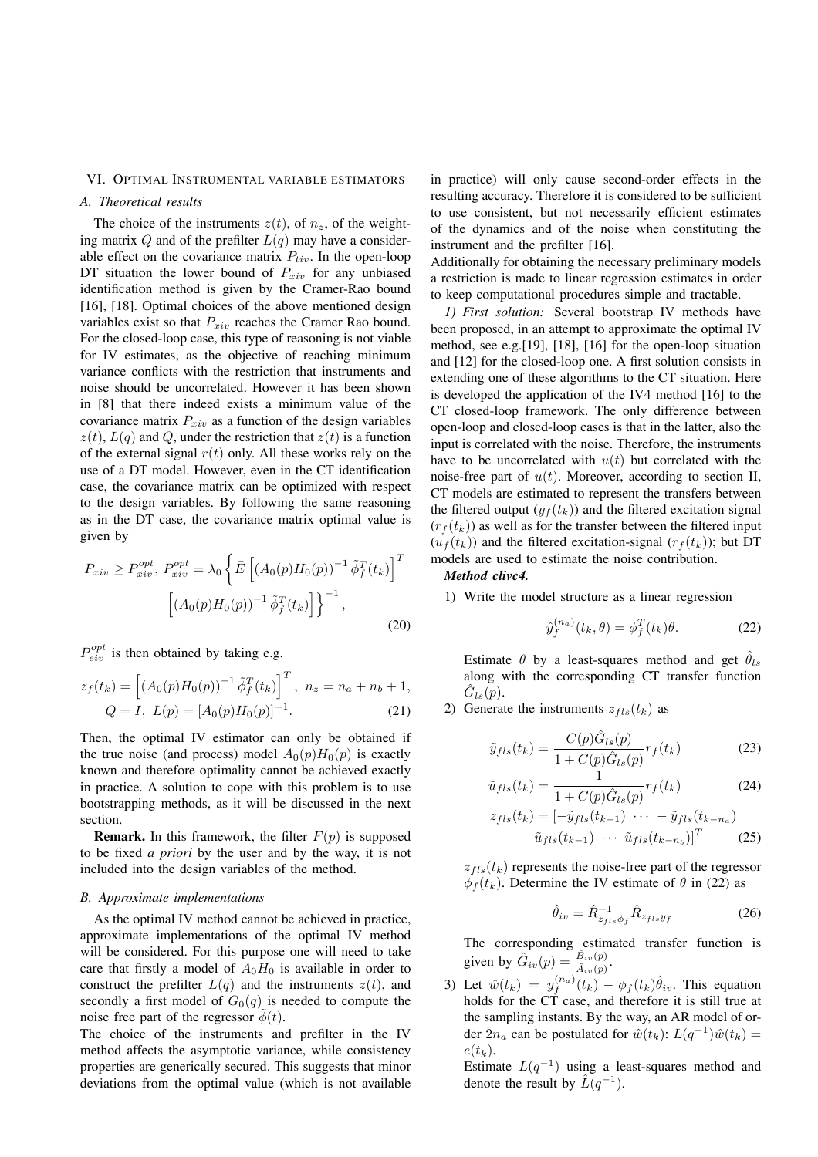#### VI. OPTIMAL INSTRUMENTAL VARIABLE ESTIMATORS

## *A. Theoretical results*

The choice of the instruments  $z(t)$ , of  $n_z$ , of the weighting matrix  $Q$  and of the prefilter  $L(q)$  may have a considerable effect on the covariance matrix  $P_{tiv}$ . In the open-loop DT situation the lower bound of  $P_{xiv}$  for any unbiased identification method is given by the Cramer-Rao bound [16], [18]. Optimal choices of the above mentioned design variables exist so that  $P_{xiv}$  reaches the Cramer Rao bound. For the closed-loop case, this type of reasoning is not viable for IV estimates, as the objective of reaching minimum variance conflicts with the restriction that instruments and noise should be uncorrelated. However it has been shown in [8] that there indeed exists a minimum value of the covariance matrix  $P_{xiv}$  as a function of the design variables  $z(t)$ ,  $L(q)$  and Q, under the restriction that  $z(t)$  is a function of the external signal  $r(t)$  only. All these works rely on the use of a DT model. However, even in the CT identification case, the covariance matrix can be optimized with respect to the design variables. By following the same reasoning as in the DT case, the covariance matrix optimal value is given by

$$
P_{xiv} \ge P_{xiv}^{opt}, P_{xiv}^{opt} = \lambda_0 \left\{ \bar{E} \left[ \left( A_0(p) H_0(p) \right)^{-1} \tilde{\phi}_f^T(t_k) \right]^T \right. \\ \left. \left[ \left( A_0(p) H_0(p) \right)^{-1} \tilde{\phi}_f^T(t_k) \right] \right\}^{-1}, \tag{20}
$$

 $P_{eiv}^{opt}$  is then obtained by taking e.g.

$$
z_f(t_k) = \left[ (A_0(p)H_0(p))^{-1} \tilde{\phi}_f^T(t_k) \right]^T, \ n_z = n_a + n_b + 1,
$$
  
\n
$$
Q = I, \ L(p) = [A_0(p)H_0(p)]^{-1}.
$$
\n(21)

Then, the optimal IV estimator can only be obtained if the true noise (and process) model  $A_0(p)H_0(p)$  is exactly known and therefore optimality cannot be achieved exactly in practice. A solution to cope with this problem is to use bootstrapping methods, as it will be discussed in the next section.

**Remark.** In this framework, the filter  $F(p)$  is supposed to be fixed *a priori* by the user and by the way, it is not included into the design variables of the method.

#### *B. Approximate implementations*

As the optimal IV method cannot be achieved in practice, approximate implementations of the optimal IV method will be considered. For this purpose one will need to take care that firstly a model of  $A_0H_0$  is available in order to construct the prefilter  $L(q)$  and the instruments  $z(t)$ , and secondly a first model of  $G_0(q)$  is needed to compute the noise free part of the regressor  $\phi(t)$ .

The choice of the instruments and prefilter in the IV method affects the asymptotic variance, while consistency properties are generically secured. This suggests that minor deviations from the optimal value (which is not available

in practice) will only cause second-order effects in the resulting accuracy. Therefore it is considered to be sufficient to use consistent, but not necessarily efficient estimates of the dynamics and of the noise when constituting the instrument and the prefilter [16].

Additionally for obtaining the necessary preliminary models a restriction is made to linear regression estimates in order to keep computational procedures simple and tractable.

*1) First solution:* Several bootstrap IV methods have been proposed, in an attempt to approximate the optimal IV method, see e.g.[19], [18], [16] for the open-loop situation and [12] for the closed-loop one. A first solution consists in extending one of these algorithms to the CT situation. Here is developed the application of the IV4 method [16] to the CT closed-loop framework. The only difference between open-loop and closed-loop cases is that in the latter, also the input is correlated with the noise. Therefore, the instruments have to be uncorrelated with  $u(t)$  but correlated with the noise-free part of  $u(t)$ . Moreover, according to section II, CT models are estimated to represent the transfers between the filtered output  $(y_f(t_k))$  and the filtered excitation signal  $(r_f(t_k))$  as well as for the transfer between the filtered input  $(u_f(t_k))$  and the filtered excitation-signal  $(r_f(t_k))$ ; but DT models are used to estimate the noise contribution.

#### *Method clivc4.*

1) Write the model structure as a linear regression

$$
\hat{y}_f^{(n_a)}(t_k, \theta) = \phi_f^T(t_k)\theta.
$$
\n(22)

Estimate  $\theta$  by a least-squares method and get  $\hat{\theta}_{ls}$ along with the corresponding CT transfer function  $G_{ls}(p)$ .

2) Generate the instruments  $z_{fls}(t_k)$  as

$$
\tilde{y}_{fls}(t_k) = \frac{C(p)\hat{G}_{ls}(p)}{1 + C(p)\hat{G}_{ls}(p)} r_f(t_k)
$$
\n(23)

$$
\tilde{u}_{fls}(t_k) = \frac{1}{1 + C(p)\hat{G}_{ls}(p)} r_f(t_k)
$$
\n
$$
\tilde{u}_{rls}(t_k) = \frac{1}{\tilde{u}_{rls}(t_k)} \tilde{G}_{ls}(t_k)
$$
\n(24)

$$
z_{fls}(t_k) = [-\tilde{y}_{fls}(t_{k-1}) \cdots - \tilde{y}_{fls}(t_{k-n_a})
$$

$$
\tilde{u}_{fls}(t_{k-1}) \cdots \tilde{u}_{fls}(t_{k-n_b})]^T
$$
(25)

 $z_{\text{fls}}(t_k)$  represents the noise-free part of the regressor  $\phi_f(t_k)$ . Determine the IV estimate of  $\theta$  in (22) as

$$
\hat{\theta}_{iv} = \hat{R}_{z_{fls}\phi_f}^{-1} \hat{R}_{z_{fls}y_f} \tag{26}
$$

The corresponding estimated transfer function is given by  $\hat{G}_{iv}(p) = \frac{\hat{B}_{iv}(p)}{\hat{A}_{iv}(p)}$ .

3) Let  $\hat{w}(t_k) = y_f^{(n_a)}(t_k) - \phi_f(t_k)\hat{\theta}_{iv}$ . This equation<br>holds for the CT case, and therefore it is still true at holds for the CT case, and therefore it is still true at the sampling instants. By the way, an AR model of order  $2n_a$  can be postulated for  $\hat{w}(t_k)$ :  $L(q^{-1})\hat{w}(t_k) =$  $e(t_k)$ .

Estimate  $L(q^{-1})$  using a least-squares method and denote the result by  $\hat{L}(q^{-1})$ .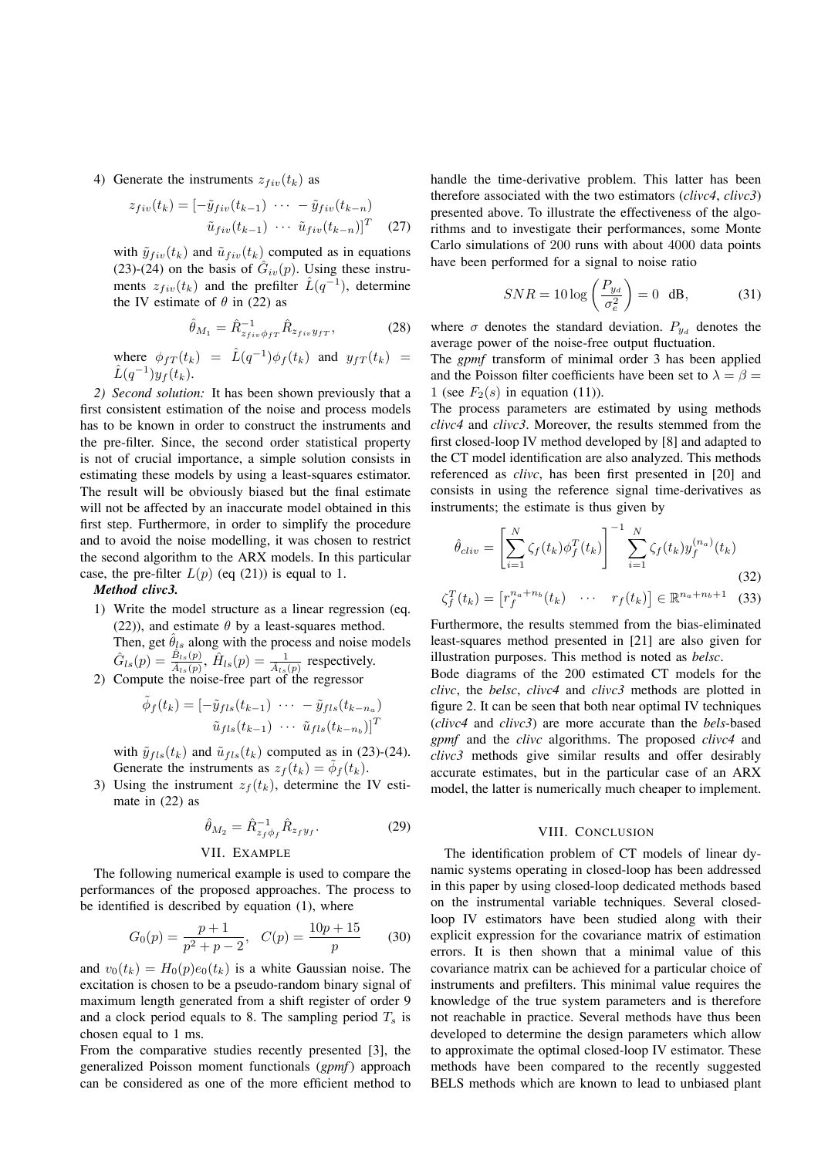4) Generate the instruments  $z_{fiv}(t_k)$  as

$$
z_{fiv}(t_k) = \left[ -\tilde{y}_{fiv}(t_{k-1}) \cdots - \tilde{y}_{fiv}(t_{k-n}) \right]
$$

$$
\tilde{u}_{fiv}(t_{k-1}) \cdots \tilde{u}_{fiv}(t_{k-n}) \right]^T \quad (27)
$$

with  $\tilde{y}_{fiv}(t_k)$  and  $\tilde{u}_{fiv}(t_k)$  computed as in equations (23)-(24) on the basis of  $\hat{G}_{iv}(p)$ . Using these instruments  $z_{fiv}(t_k)$  and the prefilter  $\hat{L}(q^{-1})$ , determine the IV estimate of  $\theta$  in (22) as

$$
\hat{\theta}_{M_1} = \hat{R}_{z_{fiv}\phi_{fT}}^{-1} \hat{R}_{z_{fiv}y_{fT}},
$$
\n(28)

where 
$$
\phi_{fT}(t_k) = \hat{L}(q^{-1})\phi_f(t_k)
$$
 and  $y_{fT}(t_k) = \hat{L}(q^{-1})y_f(t_k)$ .  
2) Second solution: It has been shown previously that a

first consistent estimation of the noise and process models has to be known in order to construct the instruments and the pre-filter. Since, the second order statistical property is not of crucial importance, a simple solution consists in estimating these models by using a least-squares estimator. The result will be obviously biased but the final estimate will not be affected by an inaccurate model obtained in this first step. Furthermore, in order to simplify the procedure and to avoid the noise modelling, it was chosen to restrict the second algorithm to the ARX models. In this particular case, the pre-filter  $L(p)$  (eq (21)) is equal to 1.

*Method clivc3.*

1) Write the model structure as a linear regression (eq. (22)), and estimate  $\theta$  by a least-squares method. Then, get  $\hat{\theta}_{ls}$  along with the process and noise models  $\hat{G}_{ls}(p) = \frac{\hat{B}_{ls}(p)}{\hat{A}_{ls}(p)}$ ,  $\hat{H}_{ls}(p) = \frac{1}{\hat{A}_{ls}(p)}$  respectively. 2) Compute the noise-free part of the regressor

$$
\tilde{\phi}_f(t_k) = [-\tilde{y}_{fls}(t_{k-1}) \cdots - \tilde{y}_{fls}(t_{k-n_a})]
$$

 $\tilde{u}_{fls}(t_{k-1}) \cdots \tilde{u}_{fls}(t_{k-n_b})]^T$ with  $\tilde{y}_{fls}(t_k)$  and  $\tilde{u}_{fls}(t_k)$  computed as in (23)-(24). Generate the instruments as  $z_f(t_k) = \phi_f(t_k)$ .

3) Using the instrument  $z_f(t_k)$ , determine the IV estimate in (22) as

$$
\hat{\theta}_{M_2} = \hat{R}_{z_f \phi_f}^{-1} \hat{R}_{z_f y_f}.
$$
 (29)

## VII. EXAMPLE

The following numerical example is used to compare the performances of the proposed approaches. The process to be identified is described by equation (1), where

$$
G_0(p) = \frac{p+1}{p^2 + p - 2}, \quad C(p) = \frac{10p + 15}{p}
$$
 (30)

and  $v_0(t_k) = H_0(p)e_0(t_k)$  is a white Gaussian noise. The excitation is chosen to be a pseudo-random binary signal of excitation is chosen to be a pseudo-random binary signal of maximum length generated from a shift register of order 9 and a clock period equals to 8. The sampling period  $T_s$  is chosen equal to 1 ms.

From the comparative studies recently presented [3], the generalized Poisson moment functionals (*gpmf*) approach can be considered as one of the more efficient method to

handle the time-derivative problem. This latter has been therefore associated with the two estimators (*clivc4*, *clivc3*) presented above. To illustrate the effectiveness of the algorithms and to investigate their performances, some Monte Carlo simulations of 200 runs with about 4000 data points have been performed for a signal to noise ratio

$$
SNR = 10 \log \left(\frac{P_{y_d}}{\sigma_e^2}\right) = 0 \text{ dB},\tag{31}
$$

where  $\sigma$  denotes the standard deviation.  $P_{y_d}$  denotes the average power of the noise-free output fluctuation.

The *gpmf* transform of minimal order 3 has been applied and the Poisson filter coefficients have been set to  $\lambda = \beta =$ 1 (see  $F_2(s)$  in equation (11)).

The process parameters are estimated by using methods *clivc4* and *clivc3*. Moreover, the results stemmed from the first closed-loop IV method developed by [8] and adapted to the CT model identification are also analyzed. This methods referenced as *clivc*, has been first presented in [20] and consists in using the reference signal time-derivatives as instruments; the estimate is thus given by

$$
\hat{\theta}_{cliv} = \left[\sum_{i=1}^{N} \zeta_f(t_k) \phi_f^T(t_k)\right]^{-1} \sum_{i=1}^{N} \zeta_f(t_k) y_f^{(n_a)}(t_k)
$$
\n(32)

$$
\zeta_f^T(t_k) = \begin{bmatrix} r_f^{n_a + n_b}(t_k) & \cdots & r_f(t_k) \end{bmatrix} \in \mathbb{R}^{n_a + n_b + 1} \quad (33)
$$

Furthermore, the results stemmed from the bias-eliminated least-squares method presented in [21] are also given for illustration purposes. This method is noted as *belsc*.

Bode diagrams of the 200 estimated CT models for the *clivc*, the *belsc*, *clivc4* and *clivc3* methods are plotted in figure 2. It can be seen that both near optimal IV techniques (*clivc4* and *clivc3*) are more accurate than the *bels*-based *gpmf* and the *clivc* algorithms. The proposed *clivc4* and *clivc3* methods give similar results and offer desirably accurate estimates, but in the particular case of an ARX model, the latter is numerically much cheaper to implement.

#### VIII. CONCLUSION

The identification problem of CT models of linear dynamic systems operating in closed-loop has been addressed in this paper by using closed-loop dedicated methods based on the instrumental variable techniques. Several closedloop IV estimators have been studied along with their explicit expression for the covariance matrix of estimation errors. It is then shown that a minimal value of this covariance matrix can be achieved for a particular choice of instruments and prefilters. This minimal value requires the knowledge of the true system parameters and is therefore not reachable in practice. Several methods have thus been developed to determine the design parameters which allow to approximate the optimal closed-loop IV estimator. These methods have been compared to the recently suggested BELS methods which are known to lead to unbiased plant